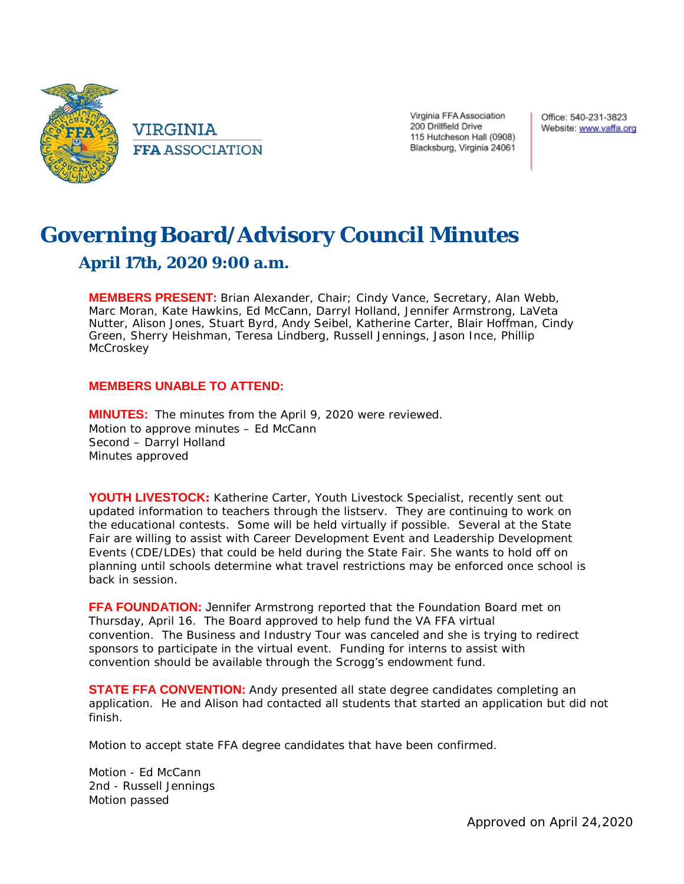

**VIRGINIA FFA ASSOCIATION**  Virginia FFA Association 200 Drillfield Drive 115 Hutcheson Hall (0908) Blacksburg, Virginia 24061 Office: 540-231-3823 Website: www.vaffa.org

## **Governing Board/Advisory Council Minutes April 17th, 2020 9:00 a.m.**

**MEMBERS PRESENT:** Brian Alexander, Chair; Cindy Vance, Secretary, Alan Webb, Marc Moran, Kate Hawkins, Ed McCann, Darryl Holland, Jennifer Armstrong, LaVeta Nutter, Alison Jones, Stuart Byrd, Andy Seibel, Katherine Carter, Blair Hoffman, Cindy Green, Sherry Heishman, Teresa Lindberg, Russell Jennings, Jason Ince, Phillip **McCroskey** 

## **MEMBERS UNABLE TO ATTEND:**

**MINUTES:** The minutes from the April 9, 2020 were reviewed. Motion to approve minutes – Ed McCann Second – Darryl Holland Minutes approved

**YOUTH LIVESTOCK:** Katherine Carter, Youth Livestock Specialist, recently sent out updated information to teachers through the listserv. They are continuing to work on the educational contests. Some will be held virtually if possible. Several at the State Fair are willing to assist with Career Development Event and Leadership Development Events (CDE/LDEs) that could be held during the State Fair. She wants to hold off on planning until schools determine what travel restrictions may be enforced once school is back in session.

**FFA FOUNDATION:** Jennifer Armstrong reported that the Foundation Board met on Thursday, April 16. The Board approved to help fund the VA FFA virtual convention. The Business and Industry Tour was canceled and she is trying to redirect sponsors to participate in the virtual event. Funding for interns to assist with convention should be available through the Scrogg's endowment fund.

**STATE FFA CONVENTION:** Andy presented all state degree candidates completing an application. He and Alison had contacted all students that started an application but did not finish.

Motion to accept state FFA degree candidates that have been confirmed.

Motion - Ed McCann 2nd - Russell Jennings Motion passed